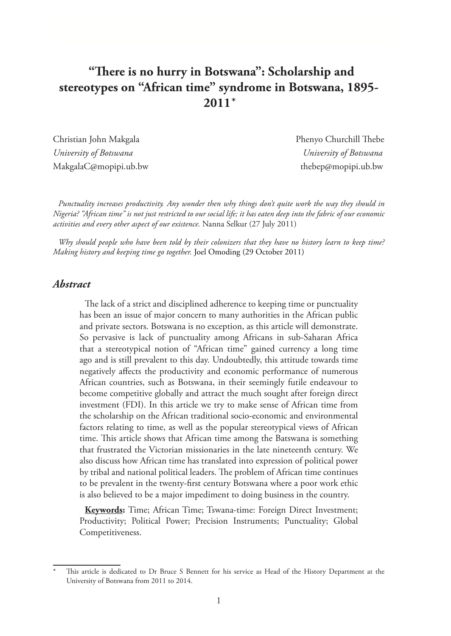# **"There is no hurry in Botswana": Scholarship and stereotypes on "African time" syndrome in Botswana, 1895-**  $2011*$

*University of Botswana University of Botswana* MakgalaC@mopipi.ub.bw thebep@mopipi.ub.bw

Christian John Makgala Phenyo Churchill Thebe

*Punctuality increases productivity. Any wonder then why things don't quite work the way they should in Nigeria? "African time" is not just restricted to our social life; it has eaten deep into the fabric of our economic activities and every other aspect of our existence.* Nanna Selkur (27 July 2011)

*Why should people who have been told by their colonizers that they have no history learn to keep time? Making history and keeping time go together.* Joel Omoding (29 October 2011)

#### *Abstract*

The lack of a strict and disciplined adherence to keeping time or punctuality has been an issue of major concern to many authorities in the African public and private sectors. Botswana is no exception, as this article will demonstrate. So pervasive is lack of punctuality among Africans in sub-Saharan Africa that a stereotypical notion of "African time" gained currency a long time ago and is still prevalent to this day. Undoubtedly, this attitude towards time negatively affects the productivity and economic performance of numerous African countries, such as Botswana, in their seemingly futile endeavour to become competitive globally and attract the much sought after foreign direct investment (FDI). In this article we try to make sense of African time from the scholarship on the African traditional socio-economic and environmental factors relating to time, as well as the popular stereotypical views of African time. This article shows that African time among the Batswana is something that frustrated the Victorian missionaries in the late nineteenth century. We also discuss how African time has translated into expression of political power by tribal and national political leaders. The problem of African time continues to be prevalent in the twenty-first century Botswana where a poor work ethic is also believed to be a major impediment to doing business in the country.

**Keywords:** Time; African Time; Tswana-time: Foreign Direct Investment; Productivity; Political Power; Precision Instruments; Punctuality; Global Competitiveness.

This article is dedicated to Dr Bruce S Bennett for his service as Head of the History Department at the University of Botswana from 2011 to 2014.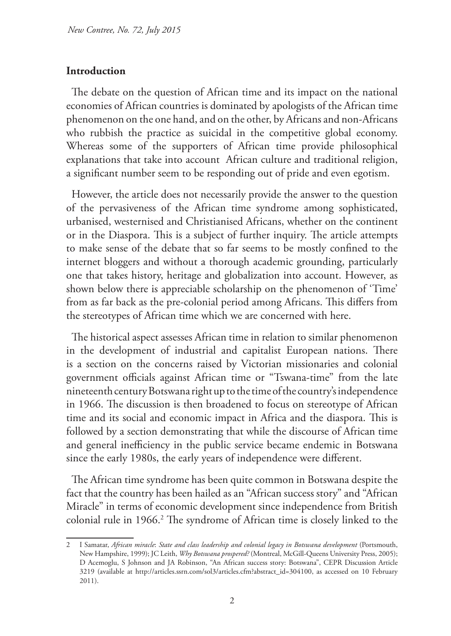#### **Introduction**

The debate on the question of African time and its impact on the national economies of African countries is dominated by apologists of the African time phenomenon on the one hand, and on the other, by Africans and non-Africans who rubbish the practice as suicidal in the competitive global economy. Whereas some of the supporters of African time provide philosophical explanations that take into account African culture and traditional religion, a significant number seem to be responding out of pride and even egotism.

However, the article does not necessarily provide the answer to the question of the pervasiveness of the African time syndrome among sophisticated, urbanised, westernised and Christianised Africans, whether on the continent or in the Diaspora. This is a subject of further inquiry. The article attempts to make sense of the debate that so far seems to be mostly confined to the internet bloggers and without a thorough academic grounding, particularly one that takes history, heritage and globalization into account. However, as shown below there is appreciable scholarship on the phenomenon of 'Time' from as far back as the pre-colonial period among Africans. This differs from the stereotypes of African time which we are concerned with here.

The historical aspect assesses African time in relation to similar phenomenon in the development of industrial and capitalist European nations. There is a section on the concerns raised by Victorian missionaries and colonial government officials against African time or "Tswana-time" from the late nineteenth century Botswana right up to the time of the country's independence in 1966. The discussion is then broadened to focus on stereotype of African time and its social and economic impact in Africa and the diaspora. This is followed by a section demonstrating that while the discourse of African time and general inefficiency in the public service became endemic in Botswana since the early 1980s, the early years of independence were different.

The African time syndrome has been quite common in Botswana despite the fact that the country has been hailed as an "African success story" and "African Miracle" in terms of economic development since independence from British colonial rule in 1966.2 The syndrome of African time is closely linked to the

<sup>2</sup> I Samatar, *African miracle*: *State and class leadership and colonial legacy in Botswana development* (Portsmouth, New Hampshire, 1999); JC Leith, *Why Botswana prospered?* (Montreal, McGill-Queens University Press, 2005); D Acemoglu, S Johnson and JA Robinson, "An African success story: Botswana", CEPR Discussion Article 3219 (available at http://articles.ssrn.com/sol3/articles.cfm?abstract\_id=304100, as accessed on 10 February 2011).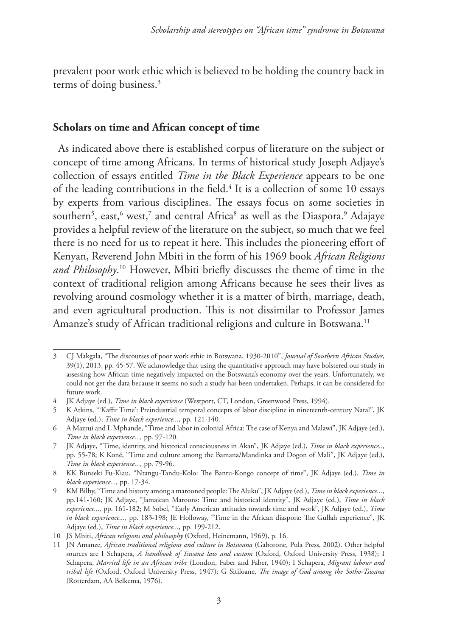prevalent poor work ethic which is believed to be holding the country back in terms of doing business.<sup>3</sup>

## **Scholars on time and African concept of time**

As indicated above there is established corpus of literature on the subject or concept of time among Africans. In terms of historical study Joseph Adjaye's collection of essays entitled *Time in the Black Experience* appears to be one of the leading contributions in the field.<sup>4</sup> It is a collection of some 10 essays by experts from various disciplines. The essays focus on some societies in southern $^5$ , east, $^6$  west, $^7$  and central Africa $^8$  as well as the Diaspora. $^9$  Adajaye provides a helpful review of the literature on the subject, so much that we feel there is no need for us to repeat it here. This includes the pioneering effort of Kenyan, Reverend John Mbiti in the form of his 1969 book *African Religions and Philosophy*. 10 However, Mbiti briefly discusses the theme of time in the context of traditional religion among Africans because he sees their lives as revolving around cosmology whether it is a matter of birth, marriage, death, and even agricultural production. This is not dissimilar to Professor James Amanze's study of African traditional religions and culture in Botswana.<sup>11</sup>

<sup>3</sup> CJ Makgala, "The discourses of poor work ethic in Botswana, 1930-2010", *Journal of Southern African Studies*, 39(1), 2013, pp. 45-57. We acknowledge that using the quantitative approach may have bolstered our study in assessing how African time negatively impacted on the Botswana's economy over the years. Unfortunately, we could not get the data because it seems no such a study has been undertaken. Perhaps, it can be considered for future work.

<sup>4</sup> JK Adjaye (ed.), *Time in black experience* (Westport, CT, London, Greenwood Press, 1994).

<sup>5</sup> K Atkins, "'Kaffir Time': Preindustrial temporal concepts of labor discipline in nineteenth-century Natal", JK Adjaye (ed.), *Time in black experience...,* pp. 121-140*.*

<sup>6</sup> A Mazrui and L Mphande, "Time and labor in colonial Africa: The case of Kenya and Malawi", JK Adjaye (ed.), *Time in black experience...,* pp. 97-120.

<sup>7</sup> JK Adjaye, "Time, identity, and historical consciousness in Akan", JK Adjaye (ed.), *Time in black experience..,*  pp. 55-78; K Koné, "Time and culture among the Bamana/Mandinka and Dogon of Mali", JK Adjaye (ed.), *Time in black experience...,* pp. 79-96.

<sup>8</sup> KK Bunseki Fu-Kiau, "Ntangu-Tandu-Kolo: The Bantu-Kongo concept of time", JK Adjaye (ed.), *Time in black experience...,* pp. 17-34.

<sup>9</sup> KM Bilby, "Time and history among a marooned people: The Aluku", JK Adjaye (ed.), *Time in black experience...,*  pp.141-160; JK Adjaye, "Jamaican Maroons: Time and historical identity", JK Adjaye (ed.), *Time in black experience...,* pp. 161-182; M Sobel, "Early American attitudes towards time and work", JK Adjaye (ed.), *Time in black experience...,* pp. 183-198; JE Holloway, "Time in the African diaspora: The Gullah experience", JK Adjaye (ed.), *Time in black experience...,* pp. 199-212.

<sup>10</sup> JS Mbiti, *African religions and philosophy* (Oxford, Heinemann, 1969), p. 16.

<sup>11</sup> JN Amanze, *African traditional religions and culture in Botswana* (Gaborone, Pula Press, 2002). Other helpful sources are I Schapera, *A handbook of Tswana law and custom* (Oxford, Oxford University Press, 1938); I Schapera, *Married life in an African tribe* (London, Faber and Faber, 1940); I Schapera, *Migrant labour and tribal life* (Oxford, Oxford University Press, 1947); G Sitiloane, *The image of God among the Sotho-Tswana* (Rotterdam, AA Belkema, 1976).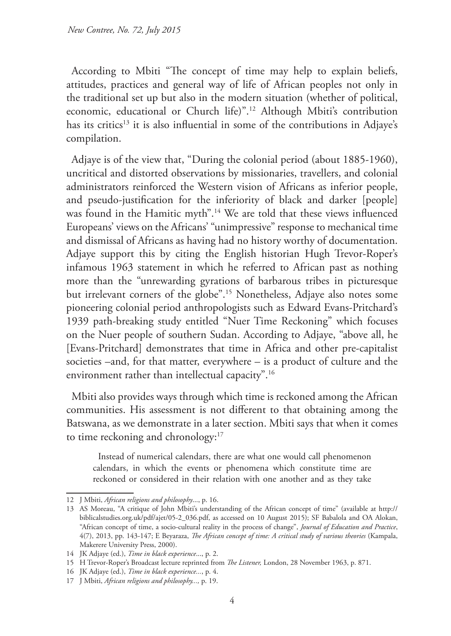According to Mbiti "The concept of time may help to explain beliefs, attitudes, practices and general way of life of African peoples not only in the traditional set up but also in the modern situation (whether of political, economic, educational or Church life)".12 Although Mbiti's contribution has its critics<sup>13</sup> it is also influential in some of the contributions in Adjaye's compilation.

Adjaye is of the view that, "During the colonial period (about 1885-1960), uncritical and distorted observations by missionaries, travellers, and colonial administrators reinforced the Western vision of Africans as inferior people, and pseudo-justification for the inferiority of black and darker [people] was found in the Hamitic myth".14 We are told that these views influenced Europeans' views on the Africans' "unimpressive" response to mechanical time and dismissal of Africans as having had no history worthy of documentation. Adjaye support this by citing the English historian Hugh Trevor-Roper's infamous 1963 statement in which he referred to African past as nothing more than the "unrewarding gyrations of barbarous tribes in picturesque but irrelevant corners of the globe".15 Nonetheless, Adjaye also notes some pioneering colonial period anthropologists such as Edward Evans-Pritchard's 1939 path-breaking study entitled "Nuer Time Reckoning" which focuses on the Nuer people of southern Sudan. According to Adjaye, "above all, he [Evans-Pritchard] demonstrates that time in Africa and other pre-capitalist societies –and, for that matter, everywhere – is a product of culture and the environment rather than intellectual capacity".16

Mbiti also provides ways through which time is reckoned among the African communities. His assessment is not different to that obtaining among the Batswana, as we demonstrate in a later section. Mbiti says that when it comes to time reckoning and chronology:<sup>17</sup>

Instead of numerical calendars, there are what one would call phenomenon calendars, in which the events or phenomena which constitute time are reckoned or considered in their relation with one another and as they take

<sup>12</sup> J Mbiti, *African religions and philosophy*..., p. 16.

<sup>13</sup> AS Moreau, "A critique of John Mbiti's understanding of the African concept of time" (available at http:// biblicalstudies.org.uk/pdf/ajet/05-2\_036.pdf, as accessed on 10 August 2015); SF Babalola and OA Alokan, "African concept of time, a socio-cultural reality in the process of change", *Journal of Education and Practice*, 4(7), 2013, pp. 143-147; E Beyaraza, *The African concept of time: A critical study of various theories* (Kampala, Makerere University Press, 2000).

<sup>14</sup> JK Adjaye (ed.), *Time in black experience*..., p. 2.

<sup>15</sup> H Trevor-Roper's Broadcast lecture reprinted from *The Listener,* London, 28 November 1963, p. 871.

<sup>16</sup> JK Adjaye (ed.), *Time in black experience...*, p. 4.

<sup>17</sup> J Mbiti, *African religions and philosophy...,* p. 19.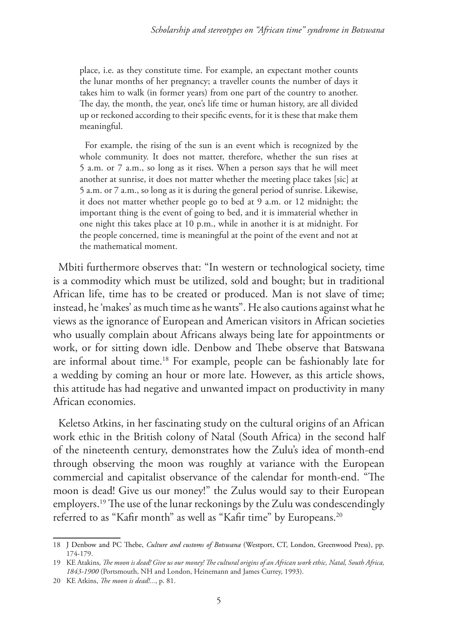place, i.e. as they constitute time. For example, an expectant mother counts the lunar months of her pregnancy; a traveller counts the number of days it takes him to walk (in former years) from one part of the country to another. The day, the month, the year, one's life time or human history, are all divided up or reckoned according to their specific events, for it is these that make them meaningful.

For example, the rising of the sun is an event which is recognized by the whole community. It does not matter, therefore, whether the sun rises at 5 a.m. or 7 a.m., so long as it rises. When a person says that he will meet another at sunrise, it does not matter whether the meeting place takes [sic] at 5 a.m. or 7 a.m., so long as it is during the general period of sunrise. Likewise, it does not matter whether people go to bed at 9 a.m. or 12 midnight; the important thing is the event of going to bed, and it is immaterial whether in one night this takes place at 10 p.m., while in another it is at midnight. For the people concerned, time is meaningful at the point of the event and not at the mathematical moment.

Mbiti furthermore observes that: "In western or technological society, time is a commodity which must be utilized, sold and bought; but in traditional African life, time has to be created or produced. Man is not slave of time; instead, he 'makes' as much time as he wants". He also cautions against what he views as the ignorance of European and American visitors in African societies who usually complain about Africans always being late for appointments or work, or for sitting down idle. Denbow and Thebe observe that Batswana are informal about time.18 For example, people can be fashionably late for a wedding by coming an hour or more late. However, as this article shows, this attitude has had negative and unwanted impact on productivity in many African economies.

Keletso Atkins, in her fascinating study on the cultural origins of an African work ethic in the British colony of Natal (South Africa) in the second half of the nineteenth century, demonstrates how the Zulu's idea of month-end through observing the moon was roughly at variance with the European commercial and capitalist observance of the calendar for month-end. "The moon is dead! Give us our money!" the Zulus would say to their European employers.19 The use of the lunar reckonings by the Zulu was condescendingly referred to as "Kafir month" as well as "Kafir time" by Europeans.<sup>20</sup>

<sup>18</sup> J Denbow and PC Thebe, *Culture and customs of Botswana* (Westport, CT, London, Greenwood Press), pp. 174-179.

<sup>19</sup> KE Atakins, *The moon is dead! Give us our money! The cultural origins of an African work ethic, Natal, South Africa, 1843-1900* (Portsmouth, NH and London, Heinemann and James Currey, 1993).

<sup>20</sup> KE Atkins, *The moon is dead!...*, p. 81.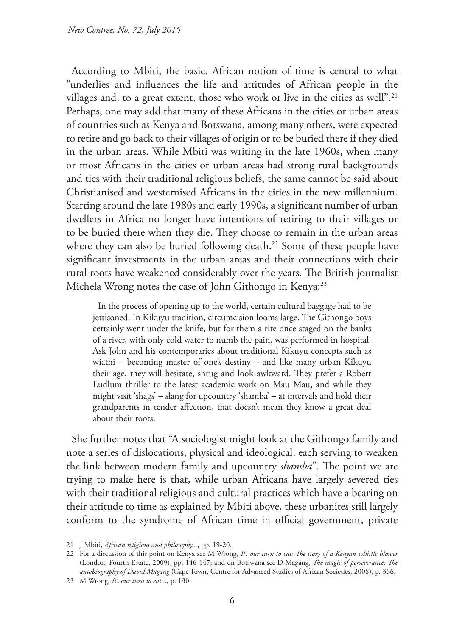According to Mbiti, the basic, African notion of time is central to what "underlies and influences the life and attitudes of African people in the villages and, to a great extent, those who work or live in the cities as well".<sup>21</sup> Perhaps, one may add that many of these Africans in the cities or urban areas of countries such as Kenya and Botswana, among many others, were expected to retire and go back to their villages of origin or to be buried there if they died in the urban areas. While Mbiti was writing in the late 1960s, when many or most Africans in the cities or urban areas had strong rural backgrounds and ties with their traditional religious beliefs, the same cannot be said about Christianised and westernised Africans in the cities in the new millennium. Starting around the late 1980s and early 1990s, a significant number of urban dwellers in Africa no longer have intentions of retiring to their villages or to be buried there when they die. They choose to remain in the urban areas where they can also be buried following death.<sup>22</sup> Some of these people have significant investments in the urban areas and their connections with their rural roots have weakened considerably over the years. The British journalist Michela Wrong notes the case of John Githongo in Kenya:<sup>23</sup>

In the process of opening up to the world, certain cultural baggage had to be jettisoned. In Kikuyu tradition, circumcision looms large. The Githongo boys certainly went under the knife, but for them a rite once staged on the banks of a river, with only cold water to numb the pain, was performed in hospital. Ask John and his contemporaries about traditional Kikuyu concepts such as wiathi – becoming master of one's destiny – and like many urban Kikuyu their age, they will hesitate, shrug and look awkward. They prefer a Robert Ludlum thriller to the latest academic work on Mau Mau, and while they might visit 'shags' – slang for upcountry 'shamba' – at intervals and hold their grandparents in tender affection, that doesn't mean they know a great deal about their roots.

She further notes that "A sociologist might look at the Githongo family and note a series of dislocations, physical and ideological, each serving to weaken the link between modern family and upcountry *shamba*". The point we are trying to make here is that, while urban Africans have largely severed ties with their traditional religious and cultural practices which have a bearing on their attitude to time as explained by Mbiti above, these urbanites still largely conform to the syndrome of African time in official government, private

<sup>21</sup> J Mbiti, *African religions and philosophy...*, pp. 19-20.

<sup>22</sup> For a discussion of this point on Kenya see M Wrong, *It's our turn to eat: The story of a Kenyan whistle blower* (London, Fourth Estate, 2009), pp. 146-147; and on Botswana see D Magang, *The magic of perseverance: The autobiography of David Magang* (Cape Town, Centre for Advanced Studies of African Societies, 2008), p. 366.

<sup>23</sup> M Wrong, *It's our turn to eat*..., p. 130.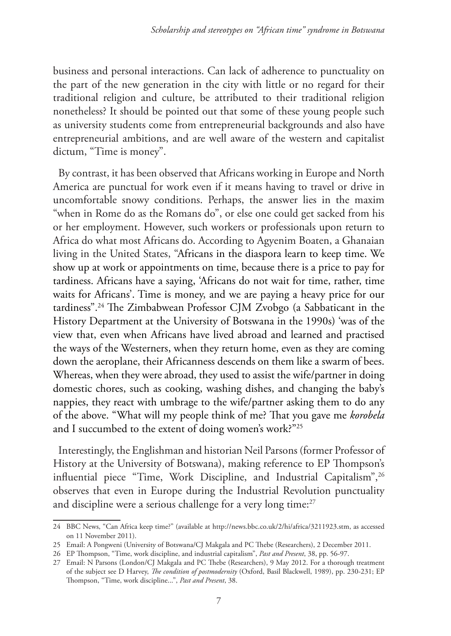business and personal interactions. Can lack of adherence to punctuality on the part of the new generation in the city with little or no regard for their traditional religion and culture, be attributed to their traditional religion nonetheless? It should be pointed out that some of these young people such as university students come from entrepreneurial backgrounds and also have entrepreneurial ambitions, and are well aware of the western and capitalist dictum, "Time is money".

By contrast, it has been observed that Africans working in Europe and North America are punctual for work even if it means having to travel or drive in uncomfortable snowy conditions. Perhaps, the answer lies in the maxim "when in Rome do as the Romans do", or else one could get sacked from his or her employment. However, such workers or professionals upon return to Africa do what most Africans do. According to Agyenim Boaten, a Ghanaian living in the United States, "Africans in the diaspora learn to keep time. We show up at work or appointments on time, because there is a price to pay for tardiness. Africans have a saying, 'Africans do not wait for time, rather, time waits for Africans'. Time is money, and we are paying a heavy price for our tardiness".24 The Zimbabwean Professor CJM Zvobgo (a Sabbaticant in the History Department at the University of Botswana in the 1990s) 'was of the view that, even when Africans have lived abroad and learned and practised the ways of the Westerners, when they return home, even as they are coming down the aeroplane, their Africanness descends on them like a swarm of bees. Whereas, when they were abroad, they used to assist the wife/partner in doing domestic chores, such as cooking, washing dishes, and changing the baby's nappies, they react with umbrage to the wife/partner asking them to do any of the above. "What will my people think of me? That you gave me *korobela* and I succumbed to the extent of doing women's work?"25

Interestingly, the Englishman and historian Neil Parsons (former Professor of History at the University of Botswana), making reference to EP Thompson's influential piece "Time, Work Discipline, and Industrial Capitalism", <sup>26</sup> observes that even in Europe during the Industrial Revolution punctuality and discipline were a serious challenge for a very long time:<sup>27</sup>

<sup>24</sup> BBC News, "Can Africa keep time?" (available at http://news.bbc.co.uk/2/hi/africa/3211923.stm, as accessed on 11 November 2011).

<sup>25</sup> Email: A Pongweni (University of Botswana/CJ Makgala and PC Thebe (Researchers), 2 December 2011.

<sup>26</sup> EP Thompson, "Time, work discipline, and industrial capitalism", *Past and Present*, 38, pp. 56-97.

<sup>27</sup> Email: N Parsons (London/CJ Makgala and PC Thebe (Researchers), 9 May 2012. For a thorough treatment of the subject see D Harvey, *The condition of postmodernity* (Oxford, Basil Blackwell, 1989), pp. 230-231; EP Thompson, "Time, work discipline...", *Past and Present*, 38.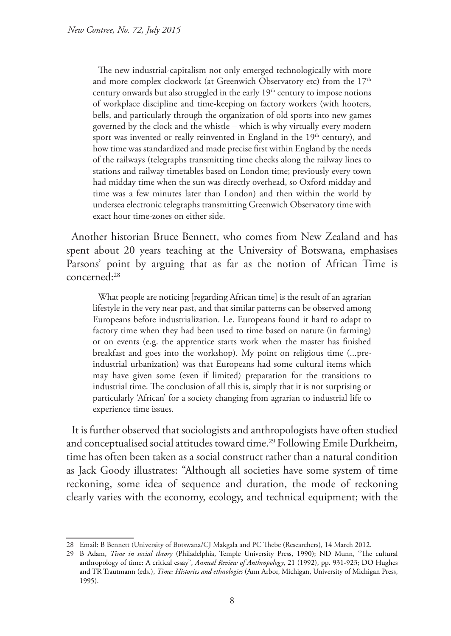The new industrial-capitalism not only emerged technologically with more and more complex clockwork (at Greenwich Observatory etc) from the  $17<sup>th</sup>$ century onwards but also struggled in the early  $19<sup>th</sup>$  century to impose notions of workplace discipline and time-keeping on factory workers (with hooters, bells, and particularly through the organization of old sports into new games governed by the clock and the whistle – which is why virtually every modern sport was invented or really reinvented in England in the 19<sup>th</sup> century), and how time was standardized and made precise first within England by the needs of the railways (telegraphs transmitting time checks along the railway lines to stations and railway timetables based on London time; previously every town had midday time when the sun was directly overhead, so Oxford midday and time was a few minutes later than London) and then within the world by undersea electronic telegraphs transmitting Greenwich Observatory time with exact hour time-zones on either side.

Another historian Bruce Bennett, who comes from New Zealand and has spent about 20 years teaching at the University of Botswana, emphasises Parsons' point by arguing that as far as the notion of African Time is concerned:28

What people are noticing [regarding African time] is the result of an agrarian lifestyle in the very near past, and that similar patterns can be observed among Europeans before industrialization. I.e. Europeans found it hard to adapt to factory time when they had been used to time based on nature (in farming) or on events (e.g. the apprentice starts work when the master has finished breakfast and goes into the workshop). My point on religious time (...preindustrial urbanization) was that Europeans had some cultural items which may have given some (even if limited) preparation for the transitions to industrial time. The conclusion of all this is, simply that it is not surprising or particularly 'African' for a society changing from agrarian to industrial life to experience time issues.

It is further observed that sociologists and anthropologists have often studied and conceptualised social attitudes toward time.<sup>29</sup> Following Emile Durkheim, time has often been taken as a social construct rather than a natural condition as Jack Goody illustrates: "Although all societies have some system of time reckoning, some idea of sequence and duration, the mode of reckoning clearly varies with the economy, ecology, and technical equipment; with the

<sup>28</sup> Email: B Bennett (University of Botswana/CJ Makgala and PC Thebe (Researchers), 14 March 2012.

<sup>29</sup> B Adam, *Time in social theory* (Philadelphia, Temple University Press, 1990); ND Munn, "The cultural anthropology of time: A critical essay", *Annual Review of Anthropology*, 21 (1992), pp. 931-923; DO Hughes and TR Trautmann (eds.), *Time: Histories and ethnologies* (Ann Arbor, Michigan, University of Michigan Press, 1995).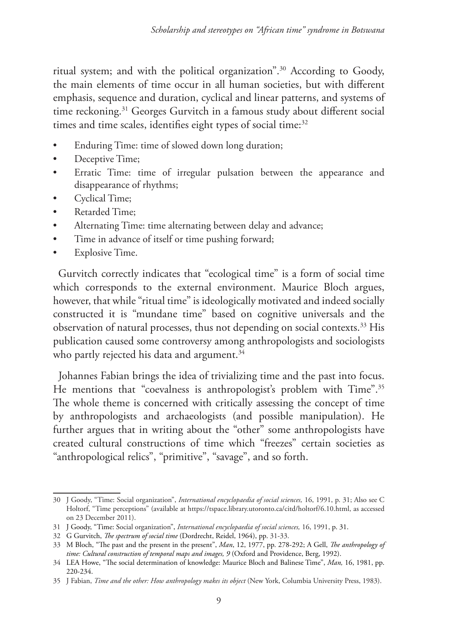ritual system; and with the political organization".30 According to Goody, the main elements of time occur in all human societies, but with different emphasis, sequence and duration, cyclical and linear patterns, and systems of time reckoning.<sup>31</sup> Georges Gurvitch in a famous study about different social times and time scales, identifies eight types of social time:<sup>32</sup>

- Enduring Time: time of slowed down long duration;
- Deceptive Time;
- Erratic Time: time of irregular pulsation between the appearance and disappearance of rhythms;
- Cyclical Time;
- Retarded Time;
- Alternating Time: time alternating between delay and advance;
- Time in advance of itself or time pushing forward;
- Explosive Time.

Gurvitch correctly indicates that "ecological time" is a form of social time which corresponds to the external environment. Maurice Bloch argues, however, that while "ritual time" is ideologically motivated and indeed socially constructed it is "mundane time" based on cognitive universals and the observation of natural processes, thus not depending on social contexts.<sup>33</sup> His publication caused some controversy among anthropologists and sociologists who partly rejected his data and argument.<sup>34</sup>

Johannes Fabian brings the idea of trivializing time and the past into focus. He mentions that "coevalness is anthropologist's problem with Time".<sup>35</sup> The whole theme is concerned with critically assessing the concept of time by anthropologists and archaeologists (and possible manipulation). He further argues that in writing about the "other" some anthropologists have created cultural constructions of time which "freezes" certain societies as "anthropological relics", "primitive", "savage", and so forth.

<sup>30</sup> J Goody, "Time: Social organization", *International encyclopaedia of social sciences,* 16, 1991, p. 31; Also see C Holtorf, "Time perceptions" (available at https://tspace.library.utoronto.ca/citd/holtorf/6.10.html, as accessed on 23 December 2011).

<sup>31</sup> J Goody, "Time: Social organization", *International encyclopaedia of social sciences,* 16, 1991, p. 31.

<sup>32</sup> G Gurvitch, *The spectrum of social time* (Dordrecht, Reidel, 1964), pp. 31-33.

<sup>33</sup> M Bloch, "The past and the present in the present", *Man*, 12, 1977, pp. 278-292; A Gell, *The anthropology of*  time: Cultural construction of temporal maps and images, 9 (Oxford and Providence, Berg, 1992).

<sup>34</sup> LEA Howe, "The social determination of knowledge: Maurice Bloch and Balinese Time", *Man,* 16, 1981, pp. 220-234.

<sup>35</sup> J Fabian, *Time and the other: How anthropology makes its object* (New York, Columbia University Press, 1983).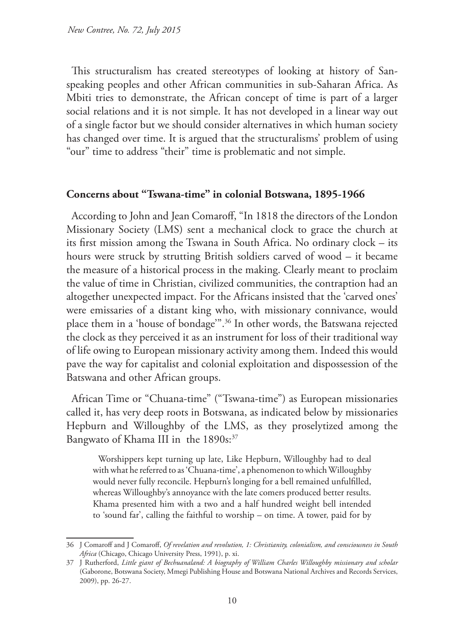This structuralism has created stereotypes of looking at history of Sanspeaking peoples and other African communities in sub-Saharan Africa. As Mbiti tries to demonstrate, the African concept of time is part of a larger social relations and it is not simple. It has not developed in a linear way out of a single factor but we should consider alternatives in which human society has changed over time. It is argued that the structuralisms' problem of using "our" time to address "their" time is problematic and not simple.

## **Concerns about "Tswana-time" in colonial Botswana, 1895-1966**

According to John and Jean Comaroff, "In 1818 the directors of the London Missionary Society (LMS) sent a mechanical clock to grace the church at its first mission among the Tswana in South Africa. No ordinary clock – its hours were struck by strutting British soldiers carved of wood – it became the measure of a historical process in the making. Clearly meant to proclaim the value of time in Christian, civilized communities, the contraption had an altogether unexpected impact. For the Africans insisted that the 'carved ones' were emissaries of a distant king who, with missionary connivance, would place them in a 'house of bondage'".36 In other words, the Batswana rejected the clock as they perceived it as an instrument for loss of their traditional way of life owing to European missionary activity among them. Indeed this would pave the way for capitalist and colonial exploitation and dispossession of the Batswana and other African groups.

African Time or "Chuana-time" ("Tswana-time") as European missionaries called it, has very deep roots in Botswana, as indicated below by missionaries Hepburn and Willoughby of the LMS, as they proselytized among the Bangwato of Khama III in the 1890s:<sup>37</sup>

Worshippers kept turning up late, Like Hepburn, Willoughby had to deal with what he referred to as 'Chuana-time', a phenomenon to which Willoughby would never fully reconcile. Hepburn's longing for a bell remained unfulfilled, whereas Willoughby's annoyance with the late comers produced better results. Khama presented him with a two and a half hundred weight bell intended to 'sound far', calling the faithful to worship – on time. A tower, paid for by

<sup>36</sup> J Comaroff and J Comaroff, *Of revelation and revolution, 1: Christianity, colonialism, and consciousness in South Africa* (Chicago, Chicago University Press, 1991), p. xi.

<sup>37</sup> J Rutherford, *Little giant of Bechuanaland: A biography of William Charles Willoughby missionary and scholar* (Gaborone, Botswana Society, Mmegi Publishing House and Botswana National Archives and Records Services, 2009), pp. 26-27.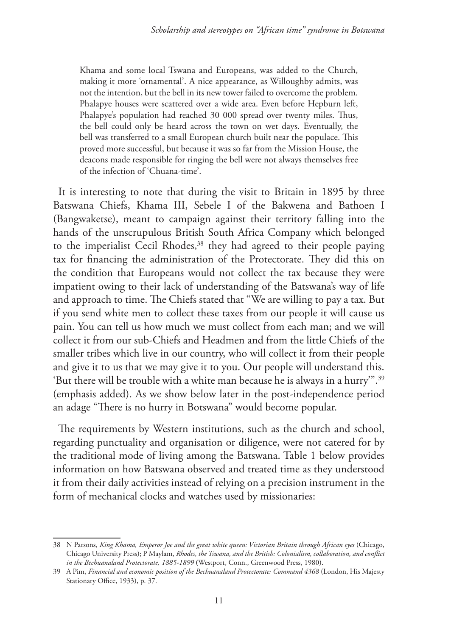Khama and some local Tswana and Europeans, was added to the Church, making it more 'ornamental'. A nice appearance, as Willoughby admits, was not the intention, but the bell in its new tower failed to overcome the problem. Phalapye houses were scattered over a wide area. Even before Hepburn left, Phalapye's population had reached 30 000 spread over twenty miles. Thus, the bell could only be heard across the town on wet days. Eventually, the bell was transferred to a small European church built near the populace. This proved more successful, but because it was so far from the Mission House, the deacons made responsible for ringing the bell were not always themselves free of the infection of 'Chuana-time'.

It is interesting to note that during the visit to Britain in 1895 by three Batswana Chiefs, Khama III, Sebele I of the Bakwena and Bathoen I (Bangwaketse), meant to campaign against their territory falling into the hands of the unscrupulous British South Africa Company which belonged to the imperialist Cecil Rhodes,<sup>38</sup> they had agreed to their people paying tax for financing the administration of the Protectorate. They did this on the condition that Europeans would not collect the tax because they were impatient owing to their lack of understanding of the Batswana's way of life and approach to time. The Chiefs stated that "We are willing to pay a tax. But if you send white men to collect these taxes from our people it will cause us pain. You can tell us how much we must collect from each man; and we will collect it from our sub-Chiefs and Headmen and from the little Chiefs of the smaller tribes which live in our country, who will collect it from their people and give it to us that we may give it to you. Our people will understand this. 'But there will be trouble with a white man because he is always in a hurry'".39 (emphasis added). As we show below later in the post-independence period an adage "There is no hurry in Botswana" would become popular.

The requirements by Western institutions, such as the church and school, regarding punctuality and organisation or diligence, were not catered for by the traditional mode of living among the Batswana. Table 1 below provides information on how Batswana observed and treated time as they understood it from their daily activities instead of relying on a precision instrument in the form of mechanical clocks and watches used by missionaries:

<sup>38</sup> N Parsons, *King Khama, Emperor Joe and the great white queen: Victorian Britain through African eyes* (Chicago, Chicago University Press); P Maylam, *Rhodes, the Tswana, and the British: Colonialism, collaboration, and conflict in the Bechuanaland Protectorate, 1885-1899* **(**Westport, Conn., Greenwood Press, 1980).

<sup>39</sup> A Pim, *Financial and economic position of the Bechuanaland Protectorate: Command 4368* (London, His Majesty Stationary Office, 1933), p. 37.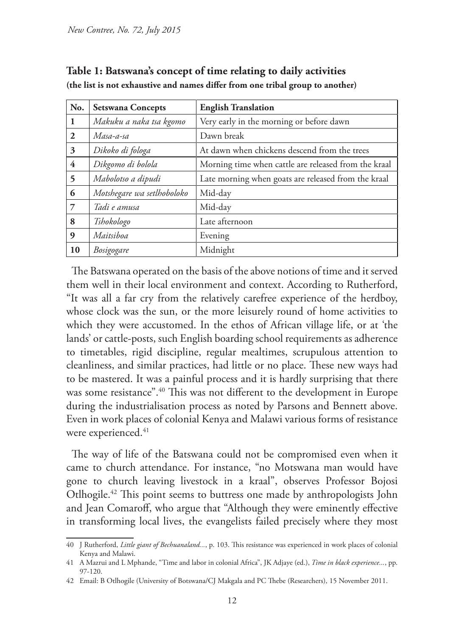| No.              | <b>Setswana Concepts</b>   | <b>English Translation</b>                           |
|------------------|----------------------------|------------------------------------------------------|
| $\mathbf{1}$     | Makuku a naka tsa kgomo    | Very early in the morning or before dawn             |
| 2                | Masa-a-sa                  | Dawn break                                           |
| 3                | Dikoko di fologa           | At dawn when chickens descend from the trees         |
| 4                | Dikgomo di bolola          | Morning time when cattle are released from the kraal |
| 5                | Mabolotso a dipudi         | Late morning when goats are released from the kraal  |
| 6                | Motshegare wa setlhoboloko | Mid-day                                              |
| $\overline{7}$   | Tadi e amusa               | Mid-day                                              |
| 8                | Tshokologo                 | Late afternoon                                       |
| $\boldsymbol{Q}$ | Maitsiboa                  | Evening                                              |
| 10               | Bosigogare                 | Midnight                                             |

**Table 1: Batswana's concept of time relating to daily activities (the list is not exhaustive and names differ from one tribal group to another)** 

The Batswana operated on the basis of the above notions of time and it served them well in their local environment and context. According to Rutherford, "It was all a far cry from the relatively carefree experience of the herdboy, whose clock was the sun, or the more leisurely round of home activities to which they were accustomed. In the ethos of African village life, or at 'the lands' or cattle-posts, such English boarding school requirements as adherence to timetables, rigid discipline, regular mealtimes, scrupulous attention to cleanliness, and similar practices, had little or no place. These new ways had to be mastered. It was a painful process and it is hardly surprising that there was some resistance".40 This was not different to the development in Europe during the industrialisation process as noted by Parsons and Bennett above. Even in work places of colonial Kenya and Malawi various forms of resistance were experienced.<sup>41</sup>

The way of life of the Batswana could not be compromised even when it came to church attendance. For instance, "no Motswana man would have gone to church leaving livestock in a kraal", observes Professor Bojosi Otlhogile.42 This point seems to buttress one made by anthropologists John and Jean Comaroff, who argue that "Although they were eminently effective in transforming local lives, the evangelists failed precisely where they most

<sup>40</sup> J Rutherford, *Little giant of Bechuanaland...*, p. 103. This resistance was experienced in work places of colonial Kenya and Malawi.

<sup>41</sup> A Mazrui and L Mphande, "Time and labor in colonial Africa", JK Adjaye (ed.), *Time in black experience...*, pp. 97-120.

<sup>42</sup> Email: B Otlhogile (University of Botswana/CJ Makgala and PC Thebe (Researchers), 15 November 2011.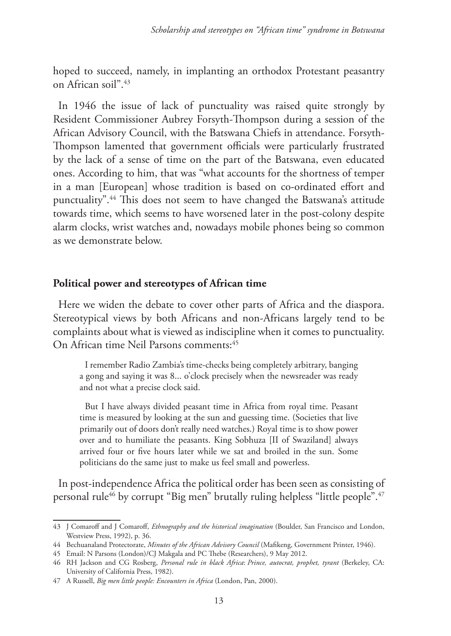hoped to succeed, namely, in implanting an orthodox Protestant peasantry on African soil".43

In 1946 the issue of lack of punctuality was raised quite strongly by Resident Commissioner Aubrey Forsyth-Thompson during a session of the African Advisory Council, with the Batswana Chiefs in attendance. Forsyth-Thompson lamented that government officials were particularly frustrated by the lack of a sense of time on the part of the Batswana, even educated ones. According to him, that was "what accounts for the shortness of temper in a man [European] whose tradition is based on co-ordinated effort and punctuality".44 This does not seem to have changed the Batswana's attitude towards time, which seems to have worsened later in the post-colony despite alarm clocks, wrist watches and, nowadays mobile phones being so common as we demonstrate below.

## **Political power and stereotypes of African time**

Here we widen the debate to cover other parts of Africa and the diaspora. Stereotypical views by both Africans and non-Africans largely tend to be complaints about what is viewed as indiscipline when it comes to punctuality. On African time Neil Parsons comments:<sup>45</sup>

I remember Radio Zambia's time-checks being completely arbitrary, banging a gong and saying it was 8... o'clock precisely when the newsreader was ready and not what a precise clock said.

But I have always divided peasant time in Africa from royal time. Peasant time is measured by looking at the sun and guessing time. (Societies that live primarily out of doors don't really need watches.) Royal time is to show power over and to humiliate the peasants. King Sobhuza [II of Swaziland] always arrived four or five hours later while we sat and broiled in the sun. Some politicians do the same just to make us feel small and powerless.

In post-independence Africa the political order has been seen as consisting of personal rule<sup>46</sup> by corrupt "Big men" brutally ruling helpless "little people".<sup>47</sup>

<sup>43</sup> J Comaroff and J Comaroff, *Ethnography and the historical imagination* (Boulder, San Francisco and London, Westview Press, 1992), p. 36.

<sup>44</sup> Bechuanaland Protectorate, *Minutes of the African Advisory Council* (Mafikeng, Government Printer, 1946).

<sup>45</sup> Email: N Parsons (London)/CJ Makgala and PC Thebe (Researchers), 9 May 2012.

<sup>46</sup> RH Jackson and CG Rosberg, *Personal rule in black Africa*: *Prince, autocrat, prophet, tyrant* (Berkeley, CA: University of California Press, 1982).

<sup>47</sup> A Russell, *Big men little people: Encounters in Africa* (London, Pan, 2000).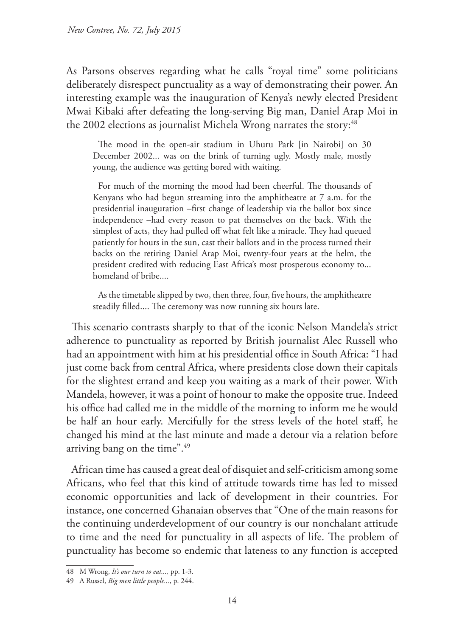As Parsons observes regarding what he calls "royal time" some politicians deliberately disrespect punctuality as a way of demonstrating their power. An interesting example was the inauguration of Kenya's newly elected President Mwai Kibaki after defeating the long-serving Big man, Daniel Arap Moi in the 2002 elections as journalist Michela Wrong narrates the story:<sup>48</sup>

The mood in the open-air stadium in Uhuru Park [in Nairobi] on 30 December 2002... was on the brink of turning ugly. Mostly male, mostly young, the audience was getting bored with waiting.

For much of the morning the mood had been cheerful. The thousands of Kenyans who had begun streaming into the amphitheatre at 7 a.m. for the presidential inauguration –first change of leadership via the ballot box since independence –had every reason to pat themselves on the back. With the simplest of acts, they had pulled off what felt like a miracle. They had queued patiently for hours in the sun, cast their ballots and in the process turned their backs on the retiring Daniel Arap Moi, twenty-four years at the helm, the president credited with reducing East Africa's most prosperous economy to... homeland of bribe....

As the timetable slipped by two, then three, four, five hours, the amphitheatre steadily filled.... The ceremony was now running six hours late.

This scenario contrasts sharply to that of the iconic Nelson Mandela's strict adherence to punctuality as reported by British journalist Alec Russell who had an appointment with him at his presidential office in South Africa: "I had just come back from central Africa, where presidents close down their capitals for the slightest errand and keep you waiting as a mark of their power. With Mandela, however, it was a point of honour to make the opposite true. Indeed his office had called me in the middle of the morning to inform me he would be half an hour early. Mercifully for the stress levels of the hotel staff, he changed his mind at the last minute and made a detour via a relation before arriving bang on the time".49

African time has caused a great deal of disquiet and self-criticism among some Africans, who feel that this kind of attitude towards time has led to missed economic opportunities and lack of development in their countries. For instance, one concerned Ghanaian observes that "One of the main reasons for the continuing underdevelopment of our country is our nonchalant attitude to time and the need for punctuality in all aspects of life. The problem of punctuality has become so endemic that lateness to any function is accepted

<sup>48</sup> M Wrong, *It's our turn to eat...,* pp. 1-3.

<sup>49</sup> A Russel, *Big men little people...*, p. 244.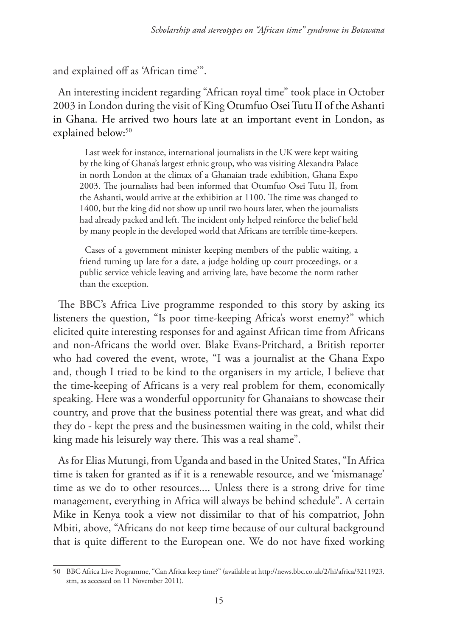and explained off as 'African time'".

An interesting incident regarding "African royal time" took place in October 2003 in London during the visit of King Otumfuo Osei Tutu II of the Ashanti in Ghana. He arrived two hours late at an important event in London, as explained below:<sup>50</sup>

Last week for instance, international journalists in the UK were kept waiting by the king of Ghana's largest ethnic group, who was visiting Alexandra Palace in north London at the climax of a Ghanaian trade exhibition, Ghana Expo 2003. The journalists had been informed that Otumfuo Osei Tutu II, from the Ashanti, would arrive at the exhibition at 1100. The time was changed to 1400, but the king did not show up until two hours later, when the journalists had already packed and left. The incident only helped reinforce the belief held by many people in the developed world that Africans are terrible time-keepers.

Cases of a government minister keeping members of the public waiting, a friend turning up late for a date, a judge holding up court proceedings, or a public service vehicle leaving and arriving late, have become the norm rather than the exception.

The BBC's Africa Live programme responded to this story by asking its listeners the question, "Is poor time-keeping Africa's worst enemy?" which elicited quite interesting responses for and against African time from Africans and non-Africans the world over. Blake Evans-Pritchard, a British reporter who had covered the event, wrote, "I was a journalist at the Ghana Expo and, though I tried to be kind to the organisers in my article, I believe that the time-keeping of Africans is a very real problem for them, economically speaking. Here was a wonderful opportunity for Ghanaians to showcase their country, and prove that the business potential there was great, and what did they do - kept the press and the businessmen waiting in the cold, whilst their king made his leisurely way there. This was a real shame".

As for Elias Mutungi, from Uganda and based in the United States, "In Africa time is taken for granted as if it is a renewable resource, and we 'mismanage' time as we do to other resources.... Unless there is a strong drive for time management, everything in Africa will always be behind schedule". A certain Mike in Kenya took a view not dissimilar to that of his compatriot, John Mbiti, above, "Africans do not keep time because of our cultural background that is quite different to the European one. We do not have fixed working

<sup>50</sup> BBC Africa Live Programme, "Can Africa keep time?" (available at http://news.bbc.co.uk/2/hi/africa/3211923. stm, as accessed on 11 November 2011).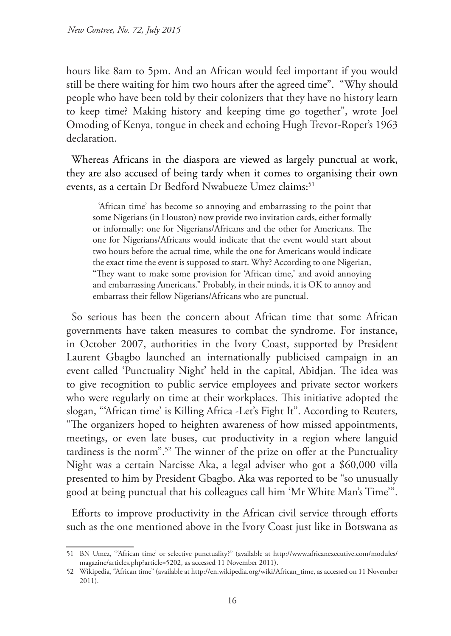hours like 8am to 5pm. And an African would feel important if you would still be there waiting for him two hours after the agreed time". "Why should people who have been told by their colonizers that they have no history learn to keep time? Making history and keeping time go together", wrote Joel Omoding of Kenya, tongue in cheek and echoing Hugh Trevor-Roper's 1963 declaration.

Whereas Africans in the diaspora are viewed as largely punctual at work, they are also accused of being tardy when it comes to organising their own events, as a certain Dr Bedford Nwabueze Umez claims:<sup>51</sup>

'African time' has become so annoying and embarrassing to the point that some Nigerians (in Houston) now provide two invitation cards, either formally or informally: one for Nigerians/Africans and the other for Americans. The one for Nigerians/Africans would indicate that the event would start about two hours before the actual time, while the one for Americans would indicate the exact time the event is supposed to start. Why? According to one Nigerian, "They want to make some provision for 'African time,' and avoid annoying and embarrassing Americans." Probably, in their minds, it is OK to annoy and embarrass their fellow Nigerians/Africans who are punctual.

So serious has been the concern about African time that some African governments have taken measures to combat the syndrome. For instance, in October 2007, authorities in the Ivory Coast, supported by President Laurent Gbagbo launched an internationally publicised campaign in an event called 'Punctuality Night' held in the capital, Abidjan. The idea was to give recognition to public service employees and private sector workers who were regularly on time at their workplaces. This initiative adopted the slogan, "'African time' is Killing Africa -Let's Fight It". According to Reuters, "The organizers hoped to heighten awareness of how missed appointments, meetings, or even late buses, cut productivity in a region where languid tardiness is the norm".52 The winner of the prize on offer at the Punctuality Night was a certain Narcisse Aka, a legal adviser who got a \$60,000 villa presented to him by President Gbagbo. Aka was reported to be "so unusually good at being punctual that his colleagues call him 'Mr White Man's Time'".

Efforts to improve productivity in the African civil service through efforts such as the one mentioned above in the Ivory Coast just like in Botswana as

<sup>51</sup> BN Umez, "'African time' or selective punctuality?" (available at http://www.africanexecutive.com/modules/ magazine/articles.php?article=5202, as accessed 11 November 2011).

<sup>52</sup> Wikipedia, "African time" (available at http://en.wikipedia.org/wiki/African\_time, as accessed on 11 November 2011).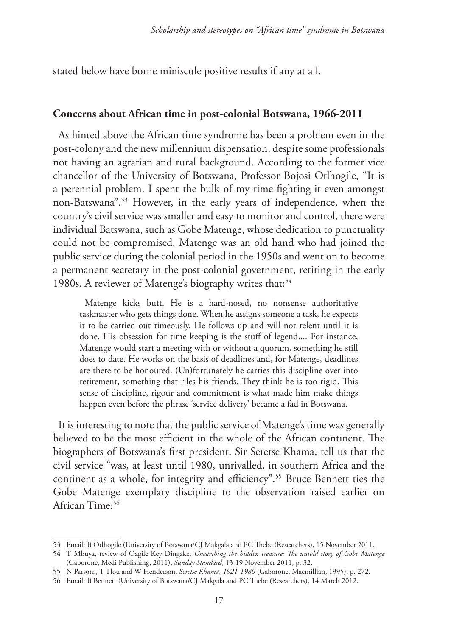stated below have borne miniscule positive results if any at all.

#### **Concerns about African time in post-colonial Botswana, 1966-2011**

As hinted above the African time syndrome has been a problem even in the post-colony and the new millennium dispensation, despite some professionals not having an agrarian and rural background. According to the former vice chancellor of the University of Botswana, Professor Bojosi Otlhogile, "It is a perennial problem. I spent the bulk of my time fighting it even amongst non-Batswana".53 However, in the early years of independence, when the country's civil service was smaller and easy to monitor and control, there were individual Batswana, such as Gobe Matenge, whose dedication to punctuality could not be compromised. Matenge was an old hand who had joined the public service during the colonial period in the 1950s and went on to become a permanent secretary in the post-colonial government, retiring in the early 1980s. A reviewer of Matenge's biography writes that:<sup>54</sup>

Matenge kicks butt. He is a hard-nosed, no nonsense authoritative taskmaster who gets things done. When he assigns someone a task, he expects it to be carried out timeously. He follows up and will not relent until it is done. His obsession for time keeping is the stuff of legend.... For instance, Matenge would start a meeting with or without a quorum, something he still does to date. He works on the basis of deadlines and, for Matenge, deadlines are there to be honoured. (Un)fortunately he carries this discipline over into retirement, something that riles his friends. They think he is too rigid. This sense of discipline, rigour and commitment is what made him make things happen even before the phrase 'service delivery' became a fad in Botswana.

It is interesting to note that the public service of Matenge's time was generally believed to be the most efficient in the whole of the African continent. The biographers of Botswana's first president, Sir Seretse Khama, tell us that the civil service "was, at least until 1980, unrivalled, in southern Africa and the continent as a whole, for integrity and efficiency".55 Bruce Bennett ties the Gobe Matenge exemplary discipline to the observation raised earlier on African Time:<sup>56</sup>

<sup>53</sup> Email: B Otlhogile (University of Botswana/CJ Makgala and PC Thebe (Researchers), 15 November 2011.

<sup>54</sup> T Mbuya, review of Oagile Key Dingake, *Unearthing the hidden treasure: The untold story of Gobe Matenge* (Gaborone, Medi Publishing, 2011), *Sunday Standard*, 13-19 November 2011, p. 32.

<sup>55</sup> N Parsons, T Tlou and W Henderson, *Seretse Khama, 1921-1980* (Gaborone, Macmillian, 1995), p. 272.

<sup>56</sup> Email: B Bennett (University of Botswana/CJ Makgala and PC Thebe (Researchers), 14 March 2012.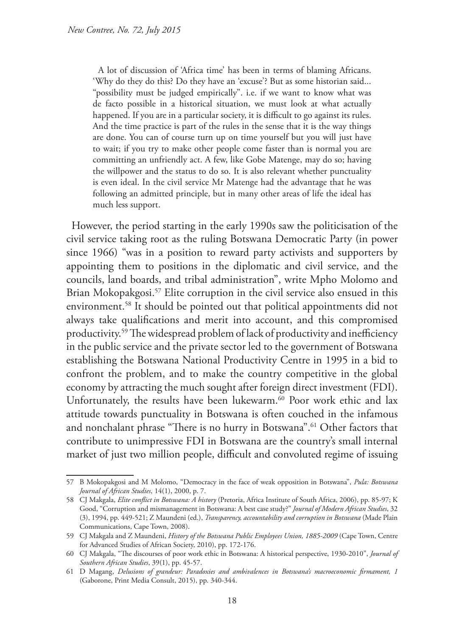A lot of discussion of 'Africa time' has been in terms of blaming Africans. 'Why do they do this? Do they have an 'excuse'? But as some historian said... "possibility must be judged empirically". i.e. if we want to know what was de facto possible in a historical situation, we must look at what actually happened. If you are in a particular society, it is difficult to go against its rules. And the time practice is part of the rules in the sense that it is the way things are done. You can of course turn up on time yourself but you will just have to wait; if you try to make other people come faster than is normal you are committing an unfriendly act. A few, like Gobe Matenge, may do so; having the willpower and the status to do so. It is also relevant whether punctuality is even ideal. In the civil service Mr Matenge had the advantage that he was following an admitted principle, but in many other areas of life the ideal has much less support.

However, the period starting in the early 1990s saw the politicisation of the civil service taking root as the ruling Botswana Democratic Party (in power since 1966) "was in a position to reward party activists and supporters by appointing them to positions in the diplomatic and civil service, and the councils, land boards, and tribal administration", write Mpho Molomo and Brian Mokopakgosi.<sup>57</sup> Elite corruption in the civil service also ensued in this environment.58 It should be pointed out that political appointments did not always take qualifications and merit into account, and this compromised productivity.59 The widespread problem of lack of productivity and inefficiency in the public service and the private sector led to the government of Botswana establishing the Botswana National Productivity Centre in 1995 in a bid to confront the problem, and to make the country competitive in the global economy by attracting the much sought after foreign direct investment (FDI). Unfortunately, the results have been lukewarm.<sup>60</sup> Poor work ethic and lax attitude towards punctuality in Botswana is often couched in the infamous and nonchalant phrase "There is no hurry in Botswana".<sup>61</sup> Other factors that contribute to unimpressive FDI in Botswana are the country's small internal market of just two million people, difficult and convoluted regime of issuing

<sup>57</sup> B Mokopakgosi and M Molomo, "Democracy in the face of weak opposition in Botswana", *Pula: Botswana Journal of African Studies*, 14(1), 2000, p. 7.

<sup>58</sup> CJ Makgala, *Elite conflict in Botswana: A history* (Pretoria, Africa Institute of South Africa, 2006), pp. 85-97; K Good, "Corruption and mismanagement in Botswana: A best case study?" *Journal of Modern African Studies*, 32 (3), 1994, pp. 449-521; Z Maundeni (ed.), *Transparency, accountability and corruption in Botswana* (Made Plain Communications, Cape Town, 2008).

<sup>59</sup> CJ Makgala and Z Maundeni, *History of the Botswana Public Employees Union, 1885-2009* (Cape Town, Centre for Advanced Studies of African Society, 2010), pp. 172-176.

<sup>60</sup> CJ Makgala, "The discourses of poor work ethic in Botswana: A historical perspective, 1930-2010", *Journal of Southern African Studies*, 39(1), pp. 45-57.

<sup>61</sup> D Magang, *Delusions of grandeur: Paradoxies and ambivalences in Botswana's macroeconomic firmament, 1* (Gaborone, Print Media Consult, 2015), pp. 340-344.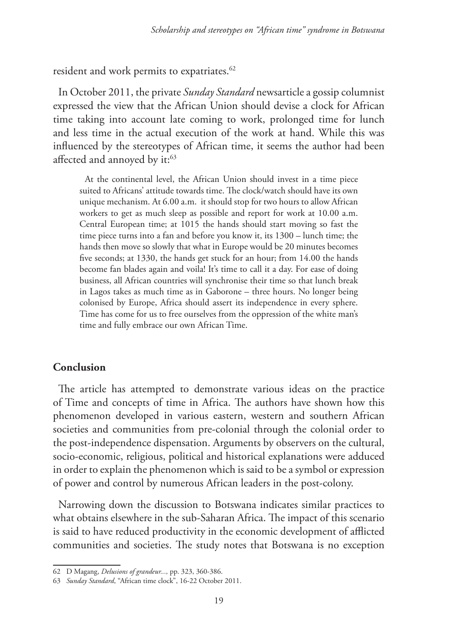resident and work permits to expatriates.<sup>62</sup>

In October 2011, the private *Sunday Standard* newsarticle a gossip columnist expressed the view that the African Union should devise a clock for African time taking into account late coming to work, prolonged time for lunch and less time in the actual execution of the work at hand. While this was influenced by the stereotypes of African time, it seems the author had been affected and annoyed by it:<sup>63</sup>

At the continental level, the African Union should invest in a time piece suited to Africans' attitude towards time. The clock/watch should have its own unique mechanism. At 6.00 a.m. it should stop for two hours to allow African workers to get as much sleep as possible and report for work at 10.00 a.m. Central European time; at 1015 the hands should start moving so fast the time piece turns into a fan and before you know it, its 1300 – lunch time; the hands then move so slowly that what in Europe would be 20 minutes becomes five seconds; at 1330, the hands get stuck for an hour; from 14.00 the hands become fan blades again and voila! It's time to call it a day. For ease of doing business, all African countries will synchronise their time so that lunch break in Lagos takes as much time as in Gaborone – three hours. No longer being colonised by Europe, Africa should assert its independence in every sphere. Time has come for us to free ourselves from the oppression of the white man's time and fully embrace our own African Time.

#### **Conclusion**

The article has attempted to demonstrate various ideas on the practice of Time and concepts of time in Africa. The authors have shown how this phenomenon developed in various eastern, western and southern African societies and communities from pre-colonial through the colonial order to the post-independence dispensation. Arguments by observers on the cultural, socio-economic, religious, political and historical explanations were adduced in order to explain the phenomenon which is said to be a symbol or expression of power and control by numerous African leaders in the post-colony.

Narrowing down the discussion to Botswana indicates similar practices to what obtains elsewhere in the sub-Saharan Africa. The impact of this scenario is said to have reduced productivity in the economic development of afflicted communities and societies. The study notes that Botswana is no exception

<sup>62</sup> D Magang, *Delusions of grandeur...,* pp. 323, 360-386.

<sup>63</sup> *Sunday Standard*, "African time clock", 16-22 October 2011.